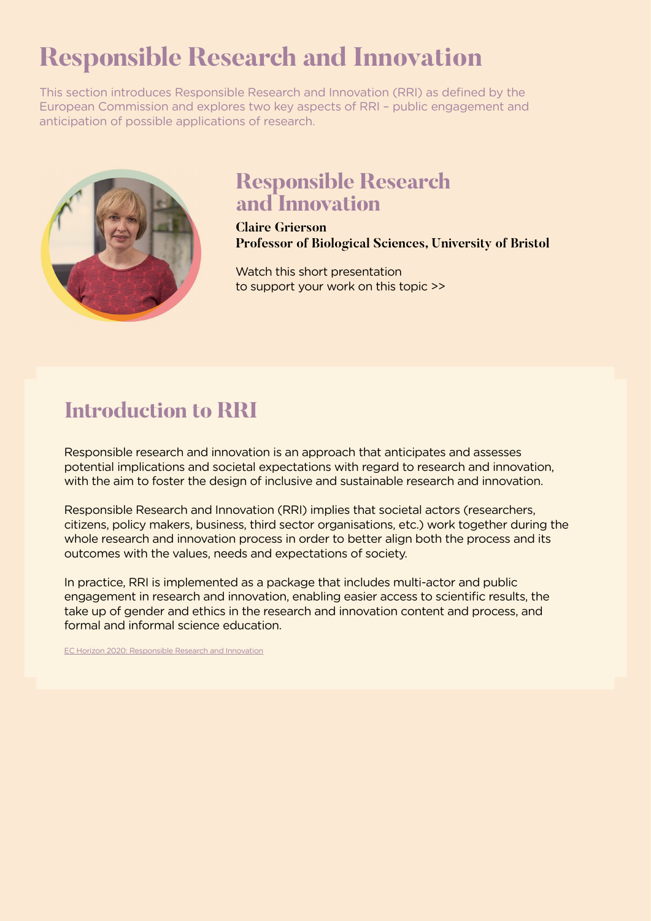# **Responsible Research and Innovation**

This section introduces Responsible Research and Innovation (RRI) as defined by the European Commission and explores two key aspects of RRI – public engagement and anticipation of possible applications of research.



### **[Responsible Research](https://youtu.be/xIk5tLTZdKE)  [and Innovation](https://youtu.be/xIk5tLTZdKE)**

**Claire Grierson Professor of Biological Sciences, University of Bristol**

[Watch this short presentation](https://youtu.be/xIk5tLTZdKE)  [to support your work on this topic >>](https://youtu.be/xIk5tLTZdKE)

# **Introduction to RRI**

Responsible research and innovation is an approach that anticipates and assesses potential implications and societal expectations with regard to research and innovation, with the aim to foster the design of inclusive and sustainable research and innovation.

Responsible Research and Innovation (RRI) implies that societal actors (researchers, citizens, policy makers, business, third sector organisations, etc.) work together during the whole research and innovation process in order to better align both the process and its outcomes with the values, needs and expectations of society.

In practice, RRI is implemented as a package that includes multi-actor and public engagement in research and innovation, enabling easier access to scientific results, the take up of gender and ethics in the research and innovation content and process, and formal and informal science education.

EC Horizon 2020: Responsible Research and Innovation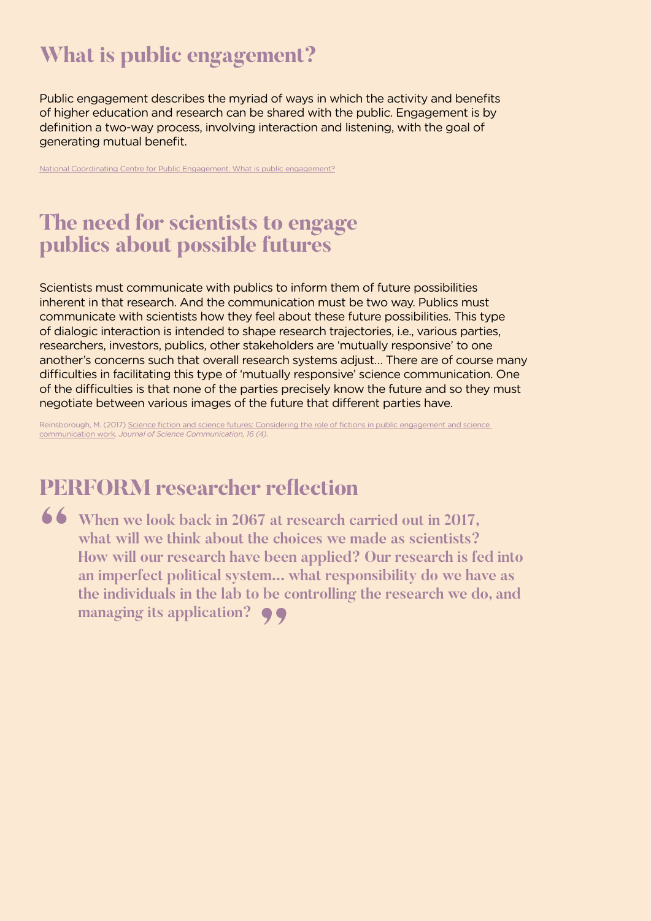# **What is public engagement?**

Public engagement describes the myriad of ways in which the activity and benefits of higher education and research can be shared with the public. Engagement is by definition a two-way process, involving interaction and listening, with the goal of generating mutual benefit.

[National Coordinating Centre for Public Engagement. What is public engagement?](http://www.publicengagement.ac.uk/about-engagement/what-public-engagement)

#### **The need for scientists to engage publics about possible futures**

Scientists must communicate with publics to inform them of future possibilities inherent in that research. And the communication must be two way. Publics must communicate with scientists how they feel about these future possibilities. This type of dialogic interaction is intended to shape research trajectories, i.e., various parties, researchers, investors, publics, other stakeholders are 'mutually responsive' to one another's concerns such that overall research systems adjust… There are of course many difficulties in facilitating this type of 'mutually responsive' science communication. One of the difficulties is that none of the parties precisely know the future and so they must negotiate between various images of the future that diferent parties have.

Reinsborough, M. (2017) [Science fiction and science futures: Considering the role of fictions in public engagement and science](https://jcom.sissa.it/sites/default/files/documents/JCOM_1604_2017_C07.pdf)  [communication work](https://jcom.sissa.it/sites/default/files/documents/JCOM_1604_2017_C07.pdf). *Journal of Science Communication, 16 (4).*

### **PERFORM researcher refection**

**66** When we look back in 2067 at research carried out in 2017,<br>
what will we think about the choices we made as scientists?<br>
How will our research have been applied? Our research is fe **what will we think about the choices we made as scientists? How will our research have been applied? Our research is fed into an imperfect political system... what responsibility do we have as the individuals in the lab to be controlling the research we do, and managing its application? "**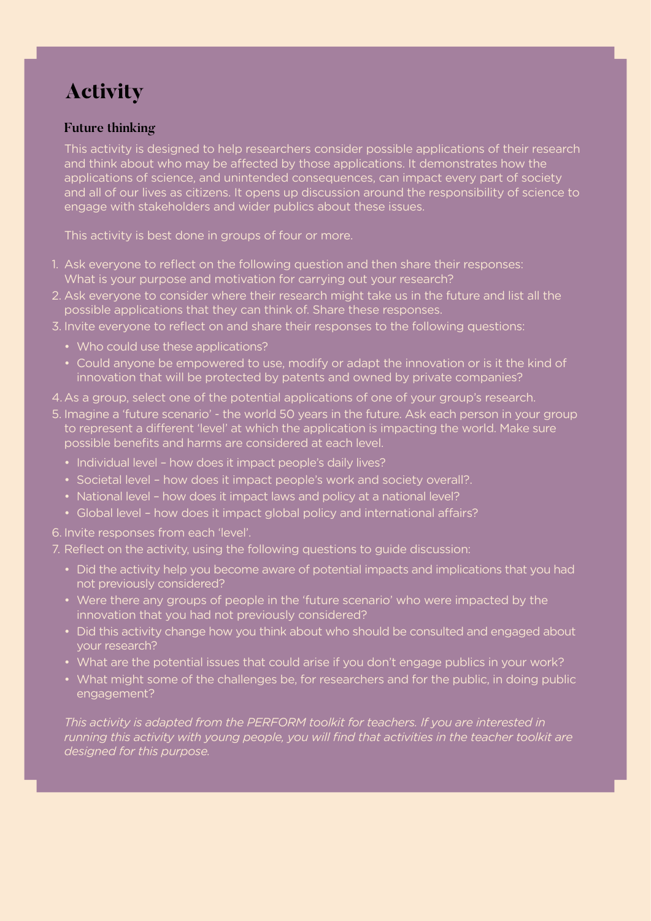# **Activity**

#### **Future thinking**

This activity is designed to help researchers consider possible applications of their research and think about who may be affected by those applications. It demonstrates how the applications of science, and unintended consequences, can impact every part of society and all of our lives as citizens. It opens up discussion around the responsibility of science to engage with stakeholders and wider publics about these issues.

This activity is best done in groups of four or more.

- 1. Ask everyone to reflect on the following question and then share their responses: What is your purpose and motivation for carrying out your research?
- 2. Ask everyone to consider where their research might take us in the future and list all the possible applications that they can think of. Share these responses.
- 3. Invite everyone to reflect on and share their responses to the following questions:
	- Who could use these applications?
	- Could anyone be empowered to use, modify or adapt the innovation or is it the kind of innovation that will be protected by patents and owned by private companies?
- 4.As a group, select one of the potential applications of one of your group's research.
- 5. Imagine a 'future scenario' the world 50 years in the future. Ask each person in your group to represent a diferent 'level' at which the application is impacting the world. Make sure possible benefits and harms are considered at each level.
	- Individual level how does it impact people's daily lives?
	- Societal level how does it impact people's work and society overall?.
	- National level how does it impact laws and policy at a national level?
	- Global level how does it impact global policy and international affairs?
- 6. Invite responses from each 'level'.
- 7. Reflect on the activity, using the following questions to guide discussion:
	- Did the activity help you become aware of potential impacts and implications that you had not previously considered?
	- Were there any groups of people in the 'future scenario' who were impacted by the innovation that you had not previously considered?
	- Did this activity change how you think about who should be consulted and engaged about your research?
	- What are the potential issues that could arise if you don't engage publics in your work?
	- What might some of the challenges be, for researchers and for the public, in doing public engagement?

*This activity is adapted from the PERFORM toolkit for teachers. If you are interested in running this activity with young people, you will find that activities in the teacher toolkit are designed for this purpose.*